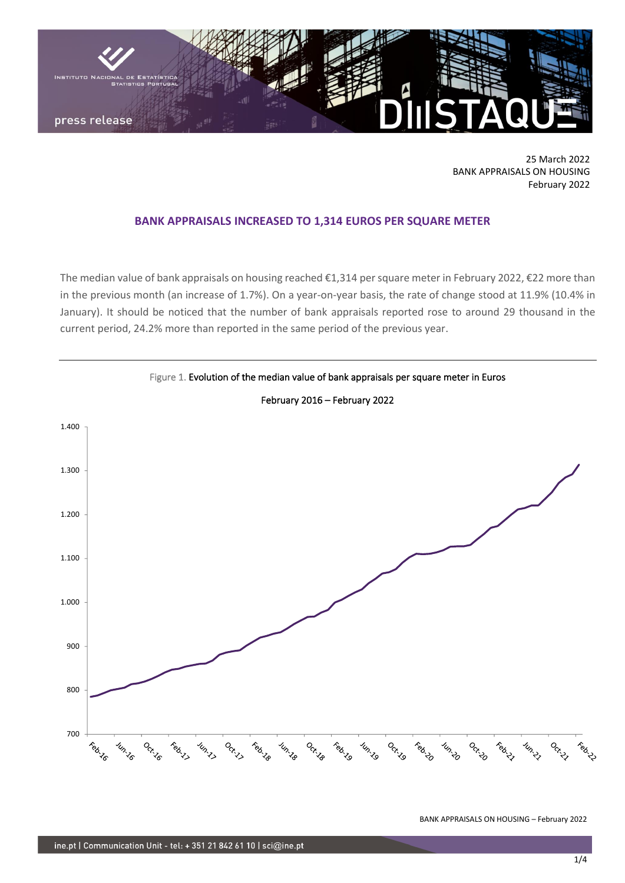

25 March 2022 BANK APPRAISALS ON HOUSING February 2022

## **BANK APPRAISALS INCREASED TO 1,314 EUROS PER SQUARE METER**

The median value of bank appraisals on housing reached €1,314 per square meter in February 2022, €22 more than in the previous month (an increase of 1.7%). On a year-on-year basis, the rate of change stood at 11.9% (10.4% in January). It should be noticed that the number of bank appraisals reported rose to around 29 thousand in the current period, 24.2% more than reported in the same period of the previous year.



BANK APPRAISALS ON HOUSING – February 2022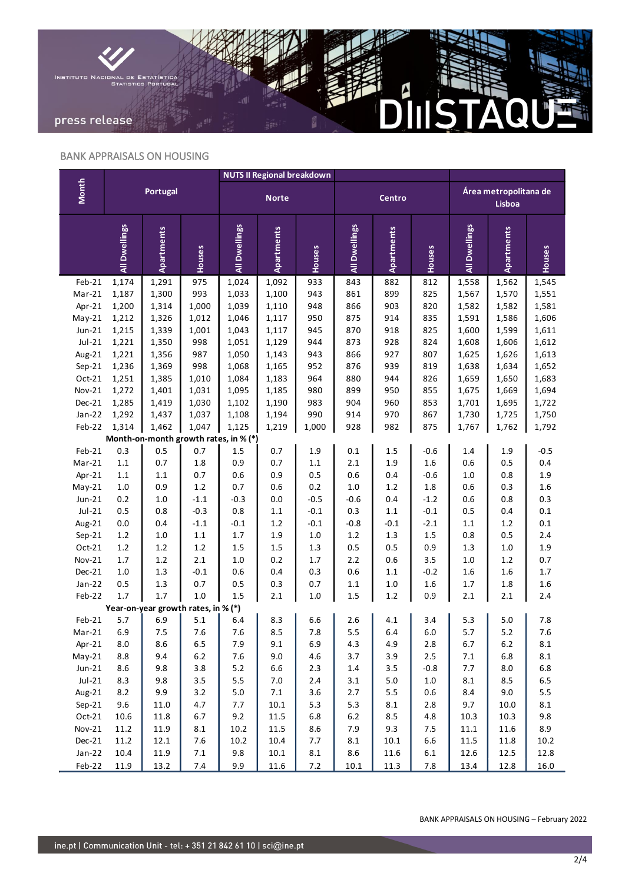

## BANK APPRAISALS ON HOUSING

|                                       | <b>Portugal</b>    |                                     |               | <b>NUTS II Regional breakdown</b> |                    |              |               |            |            |                                 |            |                |
|---------------------------------------|--------------------|-------------------------------------|---------------|-----------------------------------|--------------------|--------------|---------------|------------|------------|---------------------------------|------------|----------------|
| Month                                 |                    |                                     |               | <b>Norte</b>                      |                    |              | Centro        |            |            | Área metropolitana de<br>Lisboa |            |                |
|                                       | All Dwellings      | Apartments                          | Houses        | All Dwellings                     | Apartments         | Houses       | All Dwellings | Apartments | Houses     | All Dwellings                   | Apartments | Houses         |
| Feb-21                                | 1,174              | 1,291                               | 975           | 1,024                             | 1,092              | 933          | 843           | 882        | 812        | 1,558                           | 1,562      | 1,545          |
| $Mar-21$                              | 1,187              | 1,300                               | 993           | 1,033                             | 1,100              | 943          | 861           | 899        | 825        | 1,567                           | 1,570      | 1,551          |
| Apr-21                                | 1,200              | 1,314                               | 1,000         | 1,039                             | 1,110              | 948          | 866           | 903        | 820        | 1,582                           | 1,582      | 1,581          |
| $May-21$                              | 1,212              | 1,326                               | 1,012         | 1,046                             | 1,117              | 950          | 875           | 914        | 835        | 1,591                           | 1,586      | 1,606          |
| $Jun-21$                              | 1,215              | 1,339                               | 1,001         | 1,043                             | 1,117              | 945          | 870           | 918        | 825        | 1,600                           | 1,599      | 1,611          |
| $Jul-21$                              | 1,221              | 1,350                               | 998           | 1,051                             | 1,129              | 944          | 873           | 928        | 824        | 1,608                           | 1,606      | 1,612          |
| Aug-21                                | 1,221              | 1,356                               | 987           | 1,050                             | 1,143              | 943          | 866           | 927        | 807        | 1,625                           | 1,626      | 1,613          |
| Sep-21                                | 1,236              | 1,369                               | 998           | 1,068                             | 1,165              | 952          | 876           | 939        | 819        | 1,638                           | 1,634      | 1,652          |
| Oct-21                                | 1,251              | 1,385                               | 1,010         | 1,084                             | 1,183              | 964          | 880           | 944        | 826        | 1,659                           | 1,650      | 1,683          |
| Nov-21                                | 1,272              | 1,401                               | 1,031         | 1,095                             | 1,185              | 980          | 899           | 950        | 855        | 1,675                           | 1,669      | 1,694          |
| Dec-21                                | 1,285              | 1,419                               | 1,030         | 1,102                             | 1,190              | 983          | 904           | 960        | 853        | 1,701                           | 1,695      | 1,722          |
| $Jan-22$                              | 1,292              | 1,437                               | 1,037         | 1,108                             | 1,194              | 990          | 914           | 970        | 867        | 1,730                           | 1,725      | 1,750          |
| Feb-22                                | 1,314              | 1,462                               | 1,047         | 1,125                             | 1,219              | 1,000        | 928           | 982        | 875        | 1,767                           | 1,762      | 1,792          |
| Month-on-month growth rates, in % (*) |                    |                                     |               |                                   |                    |              |               |            |            |                                 |            |                |
| Feb-21                                | 0.3                | 0.5                                 | 0.7           | $1.5\,$                           | 0.7                | 1.9          | 0.1           | 1.5        | $-0.6$     | $1.4\,$                         | 1.9        | $-0.5$         |
| $Mar-21$                              | $1.1\,$            | 0.7                                 | 1.8           | 0.9                               | 0.7                | 1.1          | 2.1           | 1.9        | 1.6        | 0.6                             | 0.5        | 0.4            |
| Apr-21                                | $1.1\,$            | $1.1\,$                             | 0.7           | 0.6                               | 0.9                | 0.5          | 0.6           | 0.4        | $-0.6$     | 1.0                             | 0.8        | $1.9\,$        |
| $May-21$                              | $1.0\,$            | 0.9                                 | $1.2\,$       | 0.7                               | $0.6\,$            | 0.2          | $1.0$         | $1.2\,$    | 1.8        | 0.6                             | 0.3        | $1.6\,$        |
| $Jun-21$                              | 0.2                | $1.0\,$                             | $-1.1$        | $-0.3$                            | $0.0\,$            | $-0.5$       | $-0.6$        | 0.4        | $-1.2$     | 0.6                             | 0.8        | 0.3            |
| $Jul-21$                              | 0.5                | 0.8                                 | $-0.3$        | 0.8                               | $1.1\,$            | $-0.1$       | 0.3           | $1.1\,$    | $-0.1$     | 0.5                             | 0.4        | $0.1\,$        |
| Aug-21                                | 0.0                | 0.4                                 | $-1.1$        | $-0.1$                            | $1.2\,$            | $-0.1$       | $-0.8$        | $-0.1$     | $-2.1$     | $1.1\,$                         | $1.2\,$    | $0.1\,$        |
| $Sep-21$                              | $1.2\,$            | $1.0\,$                             | 1.1           | $1.7\,$                           | 1.9                | 1.0          | 1.2           | $1.3\,$    | 1.5<br>0.9 | 0.8                             | 0.5        | 2.4            |
| Oct-21                                | $1.2\,$            | $1.2\,$                             | $1.2\,$       | $1.5\,$                           | $1.5\,$<br>$0.2\,$ | 1.3          | 0.5           | 0.5<br>0.6 | 3.5        | 1.3                             | 1.0        | 1.9            |
| Nov-21<br>Dec-21                      | $1.7\,$<br>$1.0\,$ | $1.2\,$<br>1.3                      | 2.1<br>$-0.1$ | $1.0\,$<br>0.6                    | 0.4                | $1.7$<br>0.3 | 2.2<br>0.6    | $1.1\,$    | $-0.2$     | $1.0\,$<br>1.6                  | 1.2<br>1.6 | 0.7<br>$1.7\,$ |
| $Jan-22$                              | 0.5                | 1.3                                 | 0.7           | 0.5                               | 0.3                | 0.7          | 1.1           | $1.0\,$    | $1.6\,$    | $1.7\,$                         | 1.8        | 1.6            |
| Feb-22                                | $1.7\,$            | 1.7                                 | $1.0\,$       | 1.5                               | 2.1                | 1.0          | 1.5           | $1.2\,$    | 0.9        | 2.1                             | 2.1        | 2.4            |
|                                       |                    | Year-on-year growth rates, in % (*) |               |                                   |                    |              |               |            |            |                                 |            |                |
| Feb-21                                | 5.7                | 6.9                                 | 5.1           | 6.4                               | 8.3                | 6.6          | 2.6           | 4.1        | 3.4        | 5.3                             | 5.0        | 7.8            |
| $Mar-21$                              | 6.9                | 7.5                                 | 7.6           | 7.6                               | 8.5                | 7.8          | 5.5           | 6.4        | $6.0\,$    | 5.7                             | 5.2        | 7.6            |
| Apr-21                                | 8.0                | 8.6                                 | $6.5\,$       | 7.9                               | 9.1                | 6.9          | 4.3           | 4.9        | 2.8        | 6.7                             | $6.2$      | $8.1\,$        |
| $May-21$                              | 8.8                | 9.4                                 | $6.2\,$       | 7.6                               | 9.0                | 4.6          | 3.7           | 3.9        | $2.5\,$    | $7.1\,$                         | $6.8\,$    | $\bf 8.1$      |
| $Jun-21$                              | 8.6                | 9.8                                 | 3.8           | $5.2$                             | $6.6\,$            | 2.3          | $1.4\,$       | $3.5\,$    | $-0.8$     | 7.7                             | 8.0        | $6.8\,$        |
| $Jul-21$                              | 8.3                | 9.8                                 | 3.5           | 5.5                               | $7.0\,$            | $2.4\,$      | 3.1           | $5.0\,$    | $1.0\,$    | 8.1                             | 8.5        | 6.5            |
| Aug-21                                | 8.2                | 9.9                                 | 3.2           | $5.0$                             | $7.1\,$            | 3.6          | 2.7           | $5.5\,$    | $0.6\,$    | 8.4                             | 9.0        | 5.5            |
| $Sep-21$                              | 9.6                | 11.0                                | 4.7           | 7.7                               | 10.1               | 5.3          | 5.3           | $\bf 8.1$  | 2.8        | 9.7                             | 10.0       | 8.1            |
| Oct-21                                | 10.6               | 11.8                                | 6.7           | 9.2                               | $11.5\,$           | $6.8\,$      | $6.2\,$       | 8.5        | 4.8        | 10.3                            | 10.3       | 9.8            |
| $Nov-21$                              | 11.2               | 11.9                                | 8.1           | 10.2                              | 11.5               | 8.6          | 7.9           | 9.3        | 7.5        | 11.1                            | 11.6       | 8.9            |
| Dec-21                                | 11.2               | 12.1                                | 7.6           | 10.2                              | 10.4               | $7.7$        | $\bf 8.1$     | $10.1\,$   | 6.6        | 11.5                            | 11.8       | 10.2           |
| $Jan-22$                              | 10.4               | 11.9                                | $7.1\,$       | 9.8                               | $10.1\,$           | $\bf 8.1$    | 8.6           | $11.6\,$   | $6.1\,$    | 12.6                            | 12.5       | 12.8           |
| Feb-22                                | 11.9               | 13.2                                | $7.4$         | 9.9                               | 11.6               | $7.2$        | $10.1\,$      | 11.3       | 7.8        | 13.4                            | 12.8       | 16.0           |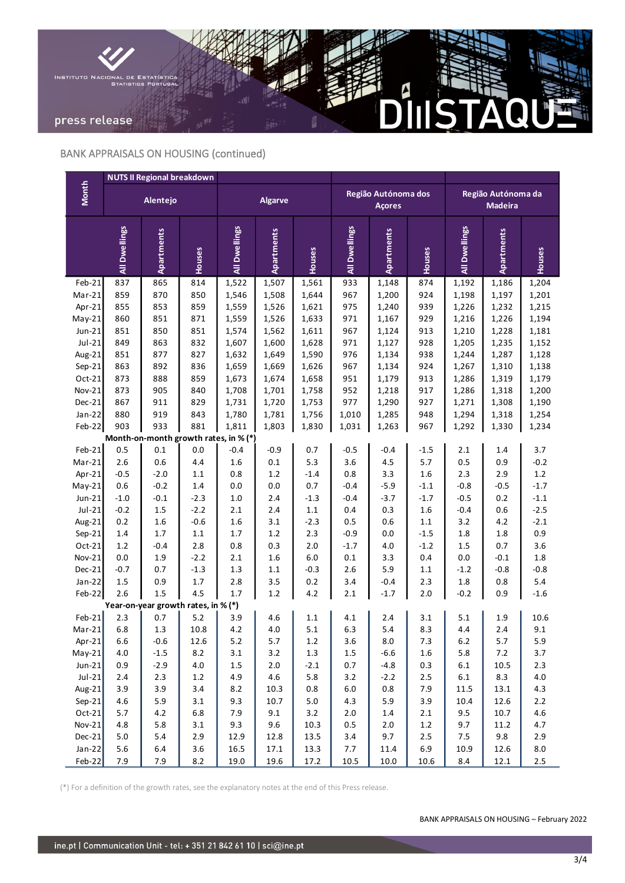

# BANK APPRAISALS ON HOUSING (continued)

| Região Autónoma dos<br>Região Autónoma da<br>Alentejo<br><b>Algarve</b><br><b>Madeira</b><br><b>Açores</b><br>All Dwellings<br>All Dwellings<br>All Dwellings<br>All Dwellings<br>Apartments<br>Apartments<br>Apartments<br>Apartments<br><b>Houses</b><br>Houses<br>Houses<br>Houses<br>$Feb-21$<br>1,561<br>933<br>837<br>865<br>1,522<br>1,507<br>1,148<br>874<br>1,192<br>1,186<br>814<br>870<br>1,546<br>1,508<br>1,644<br>967<br>1,200<br>1,198<br>Mar-21<br>859<br>850<br>924<br>1,197<br>853<br>859<br>Apr-21<br>855<br>1,559<br>1,526<br>1,621<br>975<br>1,240<br>939<br>1,226<br>1,232<br>851<br>871<br>$May-21$<br>860<br>1,559<br>1,526<br>1,633<br>971<br>1,167<br>929<br>1,216<br>1,226<br>851<br>967<br>$Jun-21$<br>851<br>850<br>1,574<br>1,562<br>1,611<br>1,124<br>1,210<br>913<br>1,228<br>971<br>$Jul-21$<br>849<br>863<br>832<br>1,607<br>1,600<br>1,628<br>1,127<br>928<br>1,205<br>1,235<br>827<br>976<br>Aug-21<br>851<br>877<br>1,632<br>1,649<br>1,590<br>1,134<br>938<br>1,244<br>1,287<br>836<br>863<br>892<br>1,659<br>1,669<br>1,626<br>967<br>924<br>1,267<br>1,310<br>$Sep-21$<br>1,134<br>859<br>Oct-21<br>873<br>888<br>1,673<br>1,674<br>1,658<br>951<br>1,179<br>913<br>1,286<br>1,319<br>Nov-21<br>873<br>905<br>840<br>1,708<br>1,701<br>1,758<br>952<br>1,218<br>917<br>1,286<br>1,318<br>977<br>867<br>911<br>829<br>1,731<br>1,720<br>1,753<br>1,290<br>927<br>1,271<br>1,190<br>Dec-21<br>1,308 |              | <b>NUTS II Regional breakdown</b> |     |     |       |       |       |       |       |     |       |       |       |
|-------------------------------------------------------------------------------------------------------------------------------------------------------------------------------------------------------------------------------------------------------------------------------------------------------------------------------------------------------------------------------------------------------------------------------------------------------------------------------------------------------------------------------------------------------------------------------------------------------------------------------------------------------------------------------------------------------------------------------------------------------------------------------------------------------------------------------------------------------------------------------------------------------------------------------------------------------------------------------------------------------------------------------------------------------------------------------------------------------------------------------------------------------------------------------------------------------------------------------------------------------------------------------------------------------------------------------------------------------------------------------------------------------------------------------------------|--------------|-----------------------------------|-----|-----|-------|-------|-------|-------|-------|-----|-------|-------|-------|
|                                                                                                                                                                                                                                                                                                                                                                                                                                                                                                                                                                                                                                                                                                                                                                                                                                                                                                                                                                                                                                                                                                                                                                                                                                                                                                                                                                                                                                           | <b>Month</b> |                                   |     |     |       |       |       |       |       |     |       |       |       |
|                                                                                                                                                                                                                                                                                                                                                                                                                                                                                                                                                                                                                                                                                                                                                                                                                                                                                                                                                                                                                                                                                                                                                                                                                                                                                                                                                                                                                                           |              |                                   |     |     |       |       |       |       |       |     |       |       |       |
|                                                                                                                                                                                                                                                                                                                                                                                                                                                                                                                                                                                                                                                                                                                                                                                                                                                                                                                                                                                                                                                                                                                                                                                                                                                                                                                                                                                                                                           |              |                                   |     |     |       |       |       |       |       |     |       |       | 1,204 |
|                                                                                                                                                                                                                                                                                                                                                                                                                                                                                                                                                                                                                                                                                                                                                                                                                                                                                                                                                                                                                                                                                                                                                                                                                                                                                                                                                                                                                                           |              |                                   |     |     |       |       |       |       |       |     |       |       | 1,201 |
|                                                                                                                                                                                                                                                                                                                                                                                                                                                                                                                                                                                                                                                                                                                                                                                                                                                                                                                                                                                                                                                                                                                                                                                                                                                                                                                                                                                                                                           |              |                                   |     |     |       |       |       |       |       |     |       |       | 1,215 |
|                                                                                                                                                                                                                                                                                                                                                                                                                                                                                                                                                                                                                                                                                                                                                                                                                                                                                                                                                                                                                                                                                                                                                                                                                                                                                                                                                                                                                                           |              |                                   |     |     |       |       |       |       |       |     |       |       | 1,194 |
|                                                                                                                                                                                                                                                                                                                                                                                                                                                                                                                                                                                                                                                                                                                                                                                                                                                                                                                                                                                                                                                                                                                                                                                                                                                                                                                                                                                                                                           |              |                                   |     |     |       |       |       |       |       |     |       |       | 1,181 |
|                                                                                                                                                                                                                                                                                                                                                                                                                                                                                                                                                                                                                                                                                                                                                                                                                                                                                                                                                                                                                                                                                                                                                                                                                                                                                                                                                                                                                                           |              |                                   |     |     |       |       |       |       |       |     |       |       | 1,152 |
|                                                                                                                                                                                                                                                                                                                                                                                                                                                                                                                                                                                                                                                                                                                                                                                                                                                                                                                                                                                                                                                                                                                                                                                                                                                                                                                                                                                                                                           |              |                                   |     |     |       |       |       |       |       |     |       |       | 1,128 |
|                                                                                                                                                                                                                                                                                                                                                                                                                                                                                                                                                                                                                                                                                                                                                                                                                                                                                                                                                                                                                                                                                                                                                                                                                                                                                                                                                                                                                                           |              |                                   |     |     |       |       |       |       |       |     |       |       | 1,138 |
|                                                                                                                                                                                                                                                                                                                                                                                                                                                                                                                                                                                                                                                                                                                                                                                                                                                                                                                                                                                                                                                                                                                                                                                                                                                                                                                                                                                                                                           |              |                                   |     |     |       |       |       |       |       |     |       |       | 1,179 |
|                                                                                                                                                                                                                                                                                                                                                                                                                                                                                                                                                                                                                                                                                                                                                                                                                                                                                                                                                                                                                                                                                                                                                                                                                                                                                                                                                                                                                                           |              |                                   |     |     |       |       |       |       |       |     |       |       | 1,200 |
|                                                                                                                                                                                                                                                                                                                                                                                                                                                                                                                                                                                                                                                                                                                                                                                                                                                                                                                                                                                                                                                                                                                                                                                                                                                                                                                                                                                                                                           |              |                                   |     |     |       |       |       |       |       |     |       |       |       |
|                                                                                                                                                                                                                                                                                                                                                                                                                                                                                                                                                                                                                                                                                                                                                                                                                                                                                                                                                                                                                                                                                                                                                                                                                                                                                                                                                                                                                                           | $Jan-22$     | 880                               | 919 | 843 | 1,780 | 1,781 | 1,756 | 1,010 | 1,285 | 948 | 1,294 | 1,318 | 1,254 |
| 903<br>933<br>881<br>1,263<br>1,811<br>1,803<br>1,830<br>1,031<br>967<br>1,292<br>Feb-22<br>1,330                                                                                                                                                                                                                                                                                                                                                                                                                                                                                                                                                                                                                                                                                                                                                                                                                                                                                                                                                                                                                                                                                                                                                                                                                                                                                                                                         |              |                                   |     |     |       |       |       |       |       |     |       |       | 1,234 |
| Month-on-month growth rates, in % (*)                                                                                                                                                                                                                                                                                                                                                                                                                                                                                                                                                                                                                                                                                                                                                                                                                                                                                                                                                                                                                                                                                                                                                                                                                                                                                                                                                                                                     |              |                                   |     |     |       |       |       |       |       |     |       |       |       |
| $Feb-21$<br>0.5<br>$-0.4$<br>$-0.9$<br>$-0.5$<br>$-0.4$<br>0.1<br>0.0<br>0.7<br>$-1.5$<br>2.1<br>1.4<br>3.7                                                                                                                                                                                                                                                                                                                                                                                                                                                                                                                                                                                                                                                                                                                                                                                                                                                                                                                                                                                                                                                                                                                                                                                                                                                                                                                               |              |                                   |     |     |       |       |       |       |       |     |       |       |       |
| 3.6<br>4.5<br>2.6<br>0.6<br>4.4<br>1.6<br>$0.1\,$<br>5.3<br>5.7<br>0.5<br>0.9<br>$-0.2$<br>$Mar-21$                                                                                                                                                                                                                                                                                                                                                                                                                                                                                                                                                                                                                                                                                                                                                                                                                                                                                                                                                                                                                                                                                                                                                                                                                                                                                                                                       |              |                                   |     |     |       |       |       |       |       |     |       |       |       |
| Apr-21<br>$-0.5$<br>$-2.0$<br>$1.1\,$<br>0.8<br>$1.2\,$<br>$-1.4$<br>0.8<br>3.3<br>$1.6\,$<br>2.3<br>2.9<br>$1.2\,$                                                                                                                                                                                                                                                                                                                                                                                                                                                                                                                                                                                                                                                                                                                                                                                                                                                                                                                                                                                                                                                                                                                                                                                                                                                                                                                       |              |                                   |     |     |       |       |       |       |       |     |       |       |       |
| 0.6<br>$-0.2$<br>$1.4\,$<br>0.0<br>0.0<br>0.7<br>$-0.4$<br>$-5.9$<br>$-1.1$<br>$-1.7$<br>$May-21$<br>$-0.8$<br>$-0.5$                                                                                                                                                                                                                                                                                                                                                                                                                                                                                                                                                                                                                                                                                                                                                                                                                                                                                                                                                                                                                                                                                                                                                                                                                                                                                                                     |              |                                   |     |     |       |       |       |       |       |     |       |       |       |
| $-1.0$<br>$-2.3$<br>$1.0$<br>2.4<br>$-1.3$<br>$-0.4$<br>$-3.7$<br>$-1.7$<br>$-0.5$<br>0.2<br>$-1.1$<br>$Jun-21$<br>$-0.1$                                                                                                                                                                                                                                                                                                                                                                                                                                                                                                                                                                                                                                                                                                                                                                                                                                                                                                                                                                                                                                                                                                                                                                                                                                                                                                                 |              |                                   |     |     |       |       |       |       |       |     |       |       |       |
| $-0.2$<br>$-2.2$<br>2.1<br>2.4<br>$1.1\,$<br>0.4<br>1.6<br>$-0.4$<br>$-2.5$<br>$Jul-21$<br>1.5<br>0.3<br>0.6                                                                                                                                                                                                                                                                                                                                                                                                                                                                                                                                                                                                                                                                                                                                                                                                                                                                                                                                                                                                                                                                                                                                                                                                                                                                                                                              |              |                                   |     |     |       |       |       |       |       |     |       |       |       |
| 0.2<br>$1.6\,$<br>$-0.6$<br>1.6<br>$3.1$<br>$-2.3$<br>$0.5\,$<br>0.6<br>3.2<br>4.2<br>$-2.1$<br>Aug-21<br>1.1                                                                                                                                                                                                                                                                                                                                                                                                                                                                                                                                                                                                                                                                                                                                                                                                                                                                                                                                                                                                                                                                                                                                                                                                                                                                                                                             |              |                                   |     |     |       |       |       |       |       |     |       |       |       |
| $Sep-21$<br>$1.4\,$<br>$1.7\,$<br>$1.1\,$<br>1.7<br>$1.2\,$<br>2.3<br>$-0.9$<br>$0.0\,$<br>$-1.5$<br>1.8<br>1.8<br>0.9                                                                                                                                                                                                                                                                                                                                                                                                                                                                                                                                                                                                                                                                                                                                                                                                                                                                                                                                                                                                                                                                                                                                                                                                                                                                                                                    |              |                                   |     |     |       |       |       |       |       |     |       |       |       |
| $-1.7$<br>Oct-21<br>$1.2\,$<br>$-0.4$<br>2.8<br>0.8<br>0.3<br>2.0<br>$4.0$<br>$-1.2$<br>0.7<br>3.6<br>1.5                                                                                                                                                                                                                                                                                                                                                                                                                                                                                                                                                                                                                                                                                                                                                                                                                                                                                                                                                                                                                                                                                                                                                                                                                                                                                                                                 |              |                                   |     |     |       |       |       |       |       |     |       |       |       |
| 0.0<br>1.9<br>$-2.2$<br>2.1<br>1.6<br>6.0<br>$0.1\,$<br>0.4<br>0.0<br>$-0.1$<br>1.8<br>Nov-21<br>3.3                                                                                                                                                                                                                                                                                                                                                                                                                                                                                                                                                                                                                                                                                                                                                                                                                                                                                                                                                                                                                                                                                                                                                                                                                                                                                                                                      |              |                                   |     |     |       |       |       |       |       |     |       |       |       |
| Dec-21<br>$-1.3$<br>$1.3\,$<br>$-0.3$<br>2.6<br>5.9<br>$-0.8$<br>$-0.8$<br>$-0.7$<br>0.7<br>1.1<br>1.1<br>$-1.2$                                                                                                                                                                                                                                                                                                                                                                                                                                                                                                                                                                                                                                                                                                                                                                                                                                                                                                                                                                                                                                                                                                                                                                                                                                                                                                                          |              |                                   |     |     |       |       |       |       |       |     |       |       |       |
| $Jan-22$<br>1.5<br>2.8<br>3.5<br>0.2<br>3.4<br>$-0.4$<br>2.3<br>1.8<br>5.4<br>0.9<br>1.7<br>0.8                                                                                                                                                                                                                                                                                                                                                                                                                                                                                                                                                                                                                                                                                                                                                                                                                                                                                                                                                                                                                                                                                                                                                                                                                                                                                                                                           |              |                                   |     |     |       |       |       |       |       |     |       |       |       |
| Feb-22<br>2.6<br>1.5<br>4.5<br>1.7<br>1.2<br>4.2<br>2.1<br>$-1.7$<br>2.0<br>$-0.2$<br>0.9<br>$-1.6$                                                                                                                                                                                                                                                                                                                                                                                                                                                                                                                                                                                                                                                                                                                                                                                                                                                                                                                                                                                                                                                                                                                                                                                                                                                                                                                                       |              |                                   |     |     |       |       |       |       |       |     |       |       |       |
| Year-on-year growth rates, in % (*)<br>2.3<br>$Feb-21$<br>5.2<br>3.9<br>4.6<br>$1.1\,$<br>4.1<br>2.4<br>3.1<br>5.1<br>1.9<br>10.6<br>0.7                                                                                                                                                                                                                                                                                                                                                                                                                                                                                                                                                                                                                                                                                                                                                                                                                                                                                                                                                                                                                                                                                                                                                                                                                                                                                                  |              |                                   |     |     |       |       |       |       |       |     |       |       |       |
| 5.1<br>6.3<br>6.8<br>1.3<br>10.8<br>4.0<br>5.4<br>8.3<br>4.4<br>2.4<br>9.1<br>$Mar-21$<br>4.2                                                                                                                                                                                                                                                                                                                                                                                                                                                                                                                                                                                                                                                                                                                                                                                                                                                                                                                                                                                                                                                                                                                                                                                                                                                                                                                                             |              |                                   |     |     |       |       |       |       |       |     |       |       |       |
| $6.6\,$<br>$-0.6$<br>12.6<br>5.2<br>5.7<br>3.6<br>8.0<br>$7.3\,$<br>5.7<br>5.9<br>Apr-21<br>$1.2\,$<br>6.2                                                                                                                                                                                                                                                                                                                                                                                                                                                                                                                                                                                                                                                                                                                                                                                                                                                                                                                                                                                                                                                                                                                                                                                                                                                                                                                                |              |                                   |     |     |       |       |       |       |       |     |       |       |       |
| $7.2\,$<br>$May-21$<br>4.0<br>$-1.5$<br>8.2<br>3.1<br>3.2<br>1.3<br>$1.5\,$<br>$-6.6$<br>1.6<br>5.8<br>3.7                                                                                                                                                                                                                                                                                                                                                                                                                                                                                                                                                                                                                                                                                                                                                                                                                                                                                                                                                                                                                                                                                                                                                                                                                                                                                                                                |              |                                   |     |     |       |       |       |       |       |     |       |       |       |
| Jun-21<br>0.9<br>$4.0\,$<br>$-2.1$<br>$0.7\,$<br>$-4.8$<br>$-2.9$<br>1.5<br>2.0<br>0.3<br>6.1<br>10.5<br>2.3                                                                                                                                                                                                                                                                                                                                                                                                                                                                                                                                                                                                                                                                                                                                                                                                                                                                                                                                                                                                                                                                                                                                                                                                                                                                                                                              |              |                                   |     |     |       |       |       |       |       |     |       |       |       |
| $Jul-21$<br>4.6<br>3.2<br>$-2.2$<br>$2.4$<br>2.3<br>4.9<br>5.8<br>2.5<br>6.1<br>8.3<br>$4.0\,$<br>$1.2$                                                                                                                                                                                                                                                                                                                                                                                                                                                                                                                                                                                                                                                                                                                                                                                                                                                                                                                                                                                                                                                                                                                                                                                                                                                                                                                                   |              |                                   |     |     |       |       |       |       |       |     |       |       |       |
| $6.0\,$<br>Aug-21<br>3.9<br>3.9<br>3.4<br>8.2<br>$0.8\,$<br>$0.8\,$<br>11.5<br>13.1<br>10.3<br>7.9<br>4.3                                                                                                                                                                                                                                                                                                                                                                                                                                                                                                                                                                                                                                                                                                                                                                                                                                                                                                                                                                                                                                                                                                                                                                                                                                                                                                                                 |              |                                   |     |     |       |       |       |       |       |     |       |       |       |
| 5.9<br>4.3<br>5.9<br>$Sep-21$<br>$4.6\,$<br>$3.1\,$<br>9.3<br>10.7<br>$5.0\,$<br>3.9<br>10.4<br>12.6<br>2.2                                                                                                                                                                                                                                                                                                                                                                                                                                                                                                                                                                                                                                                                                                                                                                                                                                                                                                                                                                                                                                                                                                                                                                                                                                                                                                                               |              |                                   |     |     |       |       |       |       |       |     |       |       |       |
| 3.2<br>$Oct-21$<br>5.7<br>4.2<br>$6.8\,$<br>7.9<br>9.1<br>$2.0\,$<br>$1.4\,$<br>$2.1\,$<br>9.5<br>$10.7\,$<br>4.6                                                                                                                                                                                                                                                                                                                                                                                                                                                                                                                                                                                                                                                                                                                                                                                                                                                                                                                                                                                                                                                                                                                                                                                                                                                                                                                         |              |                                   |     |     |       |       |       |       |       |     |       |       |       |
| $Nov-21$<br>4.8<br>5.8<br>$3.1\,$<br>9.3<br>9.6<br>10.3<br>$0.5\,$<br>$2.0\,$<br>$1.2\,$<br>9.7<br>$11.2\,$<br>4.7                                                                                                                                                                                                                                                                                                                                                                                                                                                                                                                                                                                                                                                                                                                                                                                                                                                                                                                                                                                                                                                                                                                                                                                                                                                                                                                        |              |                                   |     |     |       |       |       |       |       |     |       |       |       |
| $Dec-21$<br>$5.0\,$<br>$5.4\,$<br>2.9<br>12.9<br>12.8<br>13.5<br>$3.4$<br>9.7<br>2.5<br>7.5<br>9.8<br>2.9                                                                                                                                                                                                                                                                                                                                                                                                                                                                                                                                                                                                                                                                                                                                                                                                                                                                                                                                                                                                                                                                                                                                                                                                                                                                                                                                 |              |                                   |     |     |       |       |       |       |       |     |       |       |       |
| $5.6\,$<br>6.4<br>$3.6\,$<br>16.5<br>13.3<br>$7.7\,$<br>6.9<br>10.9<br>12.6<br>$\bf 8.0$<br>Jan-22<br>17.1<br>11.4                                                                                                                                                                                                                                                                                                                                                                                                                                                                                                                                                                                                                                                                                                                                                                                                                                                                                                                                                                                                                                                                                                                                                                                                                                                                                                                        |              |                                   |     |     |       |       |       |       |       |     |       |       |       |
| $Feb-22$<br>7.9<br>7.9<br>8.2<br>19.0<br>19.6<br>17.2<br>10.5<br>$10.0\,$<br>10.6<br>$8.4\,$<br>12.1<br>2.5                                                                                                                                                                                                                                                                                                                                                                                                                                                                                                                                                                                                                                                                                                                                                                                                                                                                                                                                                                                                                                                                                                                                                                                                                                                                                                                               |              |                                   |     |     |       |       |       |       |       |     |       |       |       |

(\*) For a definition of the growth rates, see the explanatory notes at the end of this Press release.